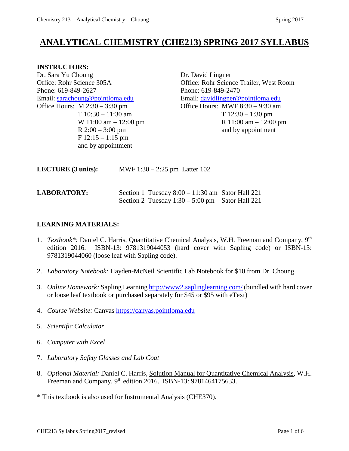# **ANALYTICAL CHEMISTRY (CHE213) SPRING 2017 SYLLABUS**

#### **INSTRUCTORS:**

Dr. Sara Yu Choung Dr. David Lingner Phone: 619-849-2627 Phone: 619-849-2470 Email: [sarachoung@pointloma.edu](mailto:sarachoung@pointloma.edu) Email: [davidlingner@pointloma.edu](mailto:davidlingner@pointloma.edu)<br>Office Hours: M 2:30 – 3:30 pm Office Hours: MWF 8:30 – 9:30 am  $F$  12:15 – 1:15 pm and by appointment

Office: Rohr Science 305A Office: Rohr Science Trailer, West Room Office Hours: MWF  $8:30 - 9:30$  am T 10:30 – 11:30 am T 12:30 – 1:30 pm W 11:00 am – 12:00 pm R 11:00 am – 12:00 pm R  $2:00 - 3:00$  pm and by appointment

| LECTURE (3 units): | MWF $1:30 - 2:25$ pm Latter 102 |
|--------------------|---------------------------------|
|--------------------|---------------------------------|

## **LABORATORY:** Section 1 Tuesday 8:00 – 11:30 am Sator Hall 221 Section 2 Tuesday  $1:30 - 5:00$  pm Sator Hall 221

## **LEARNING MATERIALS:**

- 1. *Textbook\*:* Daniel C. Harris, Quantitative Chemical Analysis, W.H. Freeman and Company, 9th edition 2016. ISBN-13: 9781319044053 (hard cover with Sapling code) or ISBN-13: 9781319044060 (loose leaf with Sapling code).
- 2. *Laboratory Notebook:* Hayden-McNeil Scientific Lab Notebook for \$10 from Dr. Choung
- 3. *Online Homework:* Sapling Learning <http://www2.saplinglearning.com/> (bundled with hard cover or loose leaf textbook or purchased separately for \$45 or \$95 with eText)
- 4. *Course Website:* Canvas [https://canvas.pointloma.edu](https://canvas.pointloma.edu/)
- 5. *Scientific Calculator*
- 6. *Computer with Excel*
- 7. *Laboratory Safety Glasses and Lab Coat*
- 8. *Optional Material:* Daniel C. Harris, Solution Manual for Quantitative Chemical Analysis, W.H. Freeman and Company, 9<sup>th</sup> edition 2016. ISBN-13: 9781464175633.

\* This textbook is also used for Instrumental Analysis (CHE370).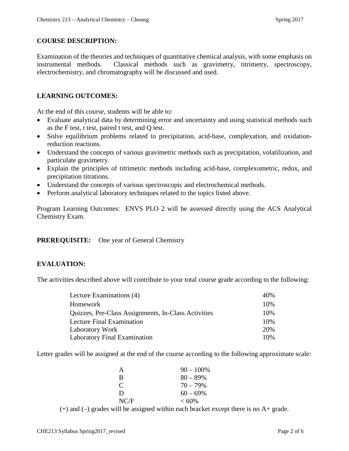## **COURSE DESCRIPTION:**

Examination of the theories and techniques of quantitative chemical analysis, with some emphasis on instrumental methods. Classical methods such as gravimetry, titrimetry, spectroscopy, electrochemistry, and chromatography will be discussed and used.

## **LEARNING OUTCOMES:**

At the end of this course, students will be able to:

- Evaluate analytical data by determining error and uncertainty and using statistical methods such as the F test, t test, paired t test, and Q test.
- Solve equilibrium problems related to precipitation, acid-base, complexation, and oxidationreduction reactions.
- Understand the concepts of various gravimetric methods such as precipitation, volatilization, and particulate gravimetry.
- Explain the principles of titrimetric methods including acid-base, complexometric, redox, and precipitation titrations.
- Understand the concepts of various spectroscopic and electrochemical methods.
- Perform analytical laboratory techniques related to the topics listed above.

Program Learning Outcomes: ENVS PLO 2 will be assessed directly using the ACS Analytical Chemistry Exam.

#### **PREREQUISITE:** One year of General Chemistry

## **EVALUATION:**

The activities described above will contribute to your total course grade according to the following:

| Lecture Examinations (4)                            | 40% |
|-----------------------------------------------------|-----|
| Homework                                            | 10% |
| Quizzes, Pre-Class Assignments, In-Class Activities | 10% |
| Lecture Final Examination                           | 10% |
| Laboratory Work                                     | 20% |
| <b>Laboratory Final Examination</b>                 | 10% |

Letter grades will be assigned at the end of the course according to the following approximate scale:

| A             | $90 - 100\%$ |
|---------------|--------------|
| R             | $80 - 89\%$  |
| $\mathcal{C}$ | $70 - 79\%$  |
| D             | $60 - 69\%$  |
| NC/F          | $< 60\%$     |

 $(+)$  and  $(-)$  grades will be assigned within each bracket except there is no A+ grade.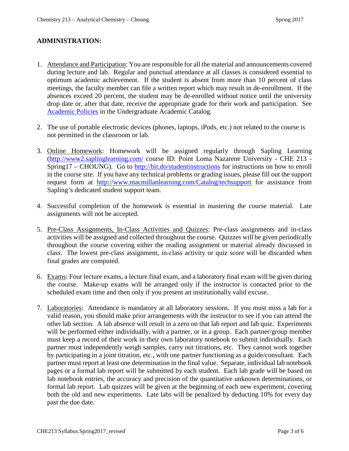## **ADMINISTRATION:**

- 1. Attendance and Participation: You are responsible for all the material and announcements covered during lecture and lab. Regular and punctual attendance at all classes is considered essential to optimum academic achievement. If the student is absent from more than 10 percent of class meetings, the faculty member can file a written report which may result in de-enrollment. If the absences exceed 20 percent, the student may be de-enrolled without notice until the university drop date or, after that date, receive the appropriate grade for their work and participation. See [Academic Policies](http://catalog.pointloma.edu/content.php?catoid=18&navoid=1278) in the Undergraduate Academic Catalog.
- 2. The use of portable electronic devices (phones, laptops, iPods, etc.) not related to the course is not permitted in the classroom or lab.
- 3. Online Homework: Homework will be assigned regularly through Sapling Learning [\(http://www2.saplinglearning.com/](http://www2.saplinglearning.com/) course ID: Point Loma Nazarene University - CHE 213 - Spring17 – CHOUNG). Go to<http://bit.do/studentinstructions> for instructions on how to enroll in the course site. If you have any technical problems or grading issues, please fill out the support request form at <http://www.macmillanlearning.com/Catalog/techsupport> for assistance from Sapling's dedicated student support team.
- 4. Successful completion of the homework is essential in mastering the course material. Late assignments will not be accepted.
- 5. Pre-Class Assignments, In-Class Activities and Quizzes: Pre-class assignments and in-class activities will be assigned and collected throughout the course. Quizzes will be given periodically throughout the course covering either the reading assignment or material already discussed in class. The lowest pre-class assignment, in-class activity or quiz score will be discarded when final grades are computed.
- 6. Exams: Four lecture exams, a lecture final exam, and a laboratory final exam will be given during the course. Make-up exams will be arranged only if the instructor is contacted prior to the scheduled exam time and then only if you present an institutionally valid excuse.
- 7. Laboratories: Attendance is mandatory at all laboratory sessions. If you must miss a lab for a valid reason, you should make prior arrangements with the instructor to see if you can attend the other lab section. A lab absence will result in a zero on that lab report and lab quiz. Experiments will be performed either individually, with a partner, or in a group. Each partner/group member must keep a record of their work in their own laboratory notebook to submit individually. Each partner must independently weigh samples, carry out titrations, etc. They cannot work together by participating in a joint titration, etc., with one partner functioning as a guide/consultant. Each partner must report at least one determination in the final value. Separate, individual lab notebook pages or a formal lab report will be submitted by each student. Each lab grade will be based on lab notebook entries, the accuracy and precision of the quantitative unknown determinations, or formal lab report. Lab quizzes will be given at the beginning of each new experiment, covering both the old and new experiments. Late labs will be penalized by deducting 10% for every day past the due date.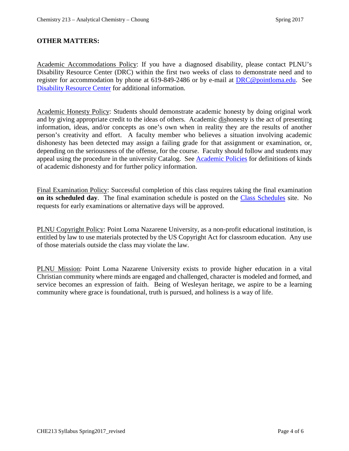## **OTHER MATTERS:**

Academic Accommodations Policy: If you have a diagnosed disability, please contact PLNU's Disability Resource Center (DRC) within the first two weeks of class to demonstrate need and to register for accommodation by phone at 619-849-2486 or by e-mail at **DRC@pointloma.edu**. See [Disability Resource Center](http://www.pointloma.edu/experience/offices/administrative-offices/academic-advising-office/disability-resource-center) for additional information.

Academic Honesty Policy: Students should demonstrate academic honesty by doing original work and by giving appropriate credit to the ideas of others. Academic dishonesty is the act of presenting information, ideas, and/or concepts as one's own when in reality they are the results of another person's creativity and effort. A faculty member who believes a situation involving academic dishonesty has been detected may assign a failing grade for that assignment or examination, or, depending on the seriousness of the offense, for the course. Faculty should follow and students may appeal using the procedure in the university Catalog. See [Academic Policies](http://catalog.pointloma.edu/content.php?catoid=18&navoid=1278) for definitions of kinds of academic dishonesty and for further policy information.

Final Examination Policy: Successful completion of this class requires taking the final examination **on its scheduled day**. The final examination schedule is posted on the [Class Schedules](http://www.pointloma.edu/experience/academics/class-schedules) site. No requests for early examinations or alternative days will be approved.

PLNU Copyright Policy: Point Loma Nazarene University, as a non-profit educational institution, is entitled by law to use materials protected by the US Copyright Act for classroom education. Any use of those materials outside the class may violate the law.

PLNU Mission: Point Loma Nazarene University exists to provide higher education in a vital Christian community where minds are engaged and challenged, character is modeled and formed, and service becomes an expression of faith. Being of Wesleyan heritage, we aspire to be a learning community where grace is foundational, truth is pursued, and holiness is a way of life.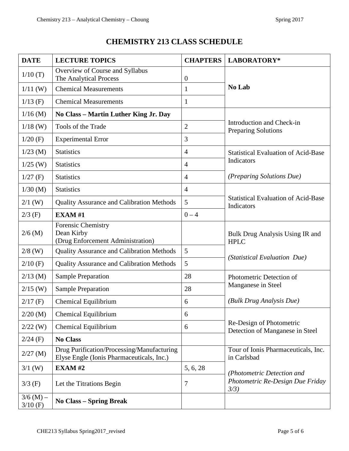## **CHEMISTRY 213 CLASS SCHEDULE**

| <b>DATE</b>               | <b>LECTURE TOPICS</b>                                                                   | <b>CHAPTERS</b>  | LABORATORY*                                                                    |  |
|---------------------------|-----------------------------------------------------------------------------------------|------------------|--------------------------------------------------------------------------------|--|
| 1/10(T)                   | Overview of Course and Syllabus<br>The Analytical Process                               | $\boldsymbol{0}$ | No Lab                                                                         |  |
| $1/11$ (W)                | <b>Chemical Measurements</b>                                                            | $\mathbf{1}$     |                                                                                |  |
| $1/13$ (F)                | <b>Chemical Measurements</b>                                                            | $\mathbf{1}$     |                                                                                |  |
| $1/16$ (M)                | No Class - Martin Luther King Jr. Day                                                   |                  | Introduction and Check-in<br><b>Preparing Solutions</b>                        |  |
| $1/18$ (W)                | Tools of the Trade                                                                      | $\overline{2}$   |                                                                                |  |
| $1/20$ (F)                | <b>Experimental Error</b>                                                               | 3                |                                                                                |  |
| $1/23$ (M)                | <b>Statistics</b>                                                                       | $\overline{4}$   | <b>Statistical Evaluation of Acid-Base</b>                                     |  |
| $1/25$ (W)                | <b>Statistics</b>                                                                       | $\overline{4}$   | Indicators                                                                     |  |
| $1/27$ (F)                | <b>Statistics</b>                                                                       | $\overline{4}$   | <i>(Preparing Solutions Due)</i>                                               |  |
| $1/30$ (M)                | <b>Statistics</b>                                                                       | $\overline{4}$   |                                                                                |  |
| $2/1$ (W)                 | <b>Quality Assurance and Calibration Methods</b>                                        | 5                | <b>Statistical Evaluation of Acid-Base</b><br>Indicators                       |  |
| $2/3$ (F)                 | EXAM#1                                                                                  | $0 - 4$          |                                                                                |  |
| $2/6$ (M)                 | <b>Forensic Chemistry</b><br>Dean Kirby<br>(Drug Enforcement Administration)            |                  | Bulk Drug Analysis Using IR and<br><b>HPLC</b><br>(Statistical Evaluation Due) |  |
| $2/8$ (W)                 | <b>Quality Assurance and Calibration Methods</b>                                        | 5                |                                                                                |  |
| $2/10$ (F)                | <b>Quality Assurance and Calibration Methods</b>                                        | 5                |                                                                                |  |
| $2/13$ (M)                | <b>Sample Preparation</b>                                                               | 28               | Photometric Detection of<br>Manganese in Steel                                 |  |
| $2/15$ (W)                | <b>Sample Preparation</b>                                                               | 28               |                                                                                |  |
| $2/17$ (F)                | Chemical Equilibrium                                                                    | 6                | (Bulk Drug Analysis Due)                                                       |  |
| $2/20$ (M)                | Chemical Equilibrium                                                                    | 6                | Re-Design of Photometric<br>Detection of Manganese in Steel                    |  |
| $2/22$ (W)                | Chemical Equilibrium                                                                    | 6                |                                                                                |  |
| $2/24$ (F)                | <b>No Class</b>                                                                         |                  |                                                                                |  |
| $2/27$ (M)                | Drug Purification/Processing/Manufacturing<br>Elyse Engle (Ionis Pharmaceuticals, Inc.) |                  | Tour of Ionis Pharmaceuticals, Inc.<br>in Carlsbad                             |  |
| $3/1$ (W)                 | <b>EXAM#2</b>                                                                           | 5, 6, 28         | (Photometric Detection and<br>Photometric Re-Design Due Friday<br>3/3)         |  |
| $3/3$ (F)                 | Let the Titrations Begin                                                                | 7                |                                                                                |  |
| $3/6$ (M) –<br>$3/10$ (F) | <b>No Class – Spring Break</b>                                                          |                  |                                                                                |  |